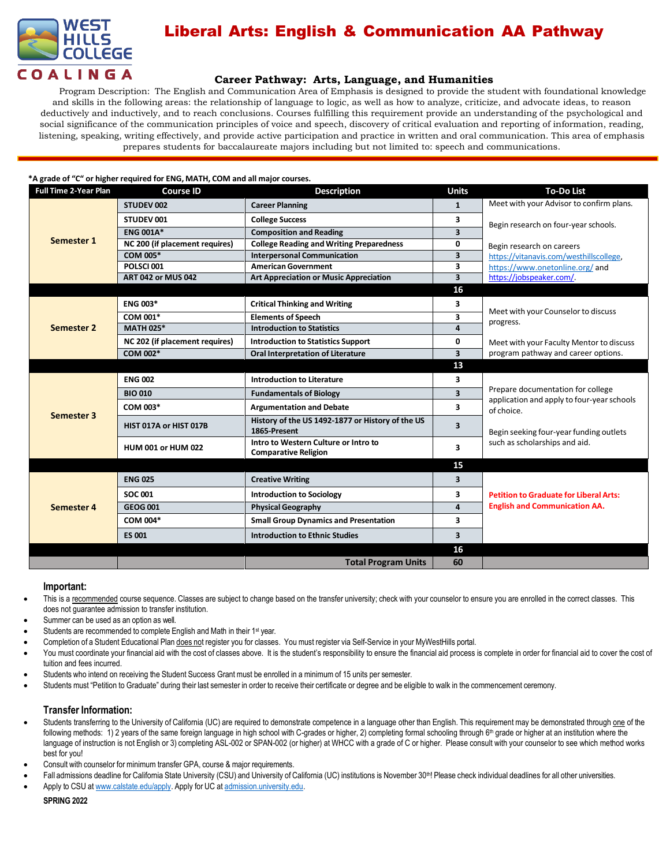

# Liberal Arts: English & Communication AA Pathway

## **Career Pathway: Arts, Language, and Humanities**

Program Description: The English and Communication Area of Emphasis is designed to provide the student with foundational knowledge and skills in the following areas: the relationship of language to logic, as well as how to analyze, criticize, and advocate ideas, to reason deductively and inductively, and to reach conclusions. Courses fulfilling this requirement provide an understanding of the psychological and social significance of the communication principles of voice and speech, discovery of critical evaluation and reporting of information, reading, listening, speaking, writing effectively, and provide active participation and practice in written and oral communication. This area of emphasis prepares students for baccalaureate majors including but not limited to: speech and communications.

### **\*A grade of "C" or higher required for ENG, MATH, COM and all major courses.**

| <b>Full Time 2-Year Plan</b> | <b>Course ID</b>               | <b>Description</b>                                                  | <b>Units</b>            | <b>To-Do List</b>                                                               |
|------------------------------|--------------------------------|---------------------------------------------------------------------|-------------------------|---------------------------------------------------------------------------------|
| Semester 1                   | STUDEV 002                     | <b>Career Planning</b>                                              | $\mathbf{1}$            | Meet with your Advisor to confirm plans.                                        |
|                              | STUDEV 001                     | <b>College Success</b>                                              | 3                       | Begin research on four-year schools.                                            |
|                              | <b>ENG 001A*</b>               | <b>Composition and Reading</b>                                      | $\overline{\mathbf{3}}$ |                                                                                 |
|                              | NC 200 (if placement requires) | <b>College Reading and Writing Preparedness</b>                     | 0                       | Begin research on careers                                                       |
|                              | COM 005*                       | <b>Interpersonal Communication</b>                                  | $\overline{\mathbf{3}}$ | https://vitanavis.com/westhillscollege,                                         |
|                              | POLSCI001                      | <b>American Government</b>                                          | 3                       | https://www.onetonline.org/and                                                  |
|                              | <b>ART 042 or MUS 042</b>      | <b>Art Appreciation or Music Appreciation</b>                       | $\overline{\mathbf{3}}$ | https://jobspeaker.com/.                                                        |
|                              |                                |                                                                     | 16                      |                                                                                 |
| <b>Semester 2</b>            | <b>ENG 003*</b>                | <b>Critical Thinking and Writing</b>                                | 3                       |                                                                                 |
|                              | COM 001*                       | <b>Elements of Speech</b>                                           | $\overline{\mathbf{3}}$ | Meet with your Counselor to discuss                                             |
|                              | <b>MATH 025*</b>               | <b>Introduction to Statistics</b>                                   | 4                       | progress.                                                                       |
|                              | NC 202 (if placement requires) | <b>Introduction to Statistics Support</b>                           | $\mathbf{0}$            | Meet with your Faculty Mentor to discuss                                        |
|                              | COM 002*                       | <b>Oral Interpretation of Literature</b>                            | $\overline{\mathbf{3}}$ | program pathway and career options.                                             |
|                              |                                |                                                                     | 13                      |                                                                                 |
| <b>Semester 3</b>            | <b>ENG 002</b>                 | <b>Introduction to Literature</b>                                   | 3                       |                                                                                 |
|                              | <b>BIO 010</b>                 | <b>Fundamentals of Biology</b>                                      | $\overline{\mathbf{3}}$ | Prepare documentation for college<br>application and apply to four-year schools |
|                              | COM 003*                       | <b>Argumentation and Debate</b>                                     | $\overline{\mathbf{3}}$ | of choice.                                                                      |
|                              | HIST 017A or HIST 017B         | History of the US 1492-1877 or History of the US<br>1865-Present    | 3                       | Begin seeking four-year funding outlets                                         |
|                              | <b>HUM 001 or HUM 022</b>      | Intro to Western Culture or Intro to<br><b>Comparative Religion</b> | 3                       | such as scholarships and aid.                                                   |
|                              |                                |                                                                     | 15                      |                                                                                 |
| Semester 4                   | <b>ENG 025</b>                 | <b>Creative Writing</b>                                             | $\overline{\mathbf{3}}$ |                                                                                 |
|                              | <b>SOC 001</b>                 | <b>Introduction to Sociology</b>                                    | 3                       | <b>Petition to Graduate for Liberal Arts:</b>                                   |
|                              | <b>GEOG 001</b>                | <b>Physical Geography</b>                                           | $\overline{a}$          | <b>English and Communication AA.</b>                                            |
|                              | COM 004*                       | <b>Small Group Dynamics and Presentation</b>                        | $\overline{\mathbf{3}}$ |                                                                                 |
|                              | <b>ES 001</b>                  | <b>Introduction to Ethnic Studies</b>                               | $\overline{\mathbf{3}}$ |                                                                                 |
|                              |                                |                                                                     | 16                      |                                                                                 |
|                              |                                | <b>Total Program Units</b>                                          | 60                      |                                                                                 |

### **Important:**

- This is a recommended course sequence. Classes are subject to change based on the transfer university; check with your counselor to ensure you are enrolled in the correct classes. This does not guarantee admission to transfer institution.
- Summer can be used as an option as well.
- Students are recommended to complete English and Math in their 1<sup>st</sup> year.
- Completion of a Student Educational Plan does not register you for classes. You must register via Self-Service in your MyWestHills portal.
- You must coordinate your financial aid with the cost of classes above. It is the student's responsibility to ensure the financial aid process is complete in order for financial aid to cover the cost of tuition and fees incurred.
- Students who intend on receiving the Student Success Grant must be enrolled in a minimum of 15 units per semester.
- Students must "Petition to Graduate" during their last semester in order to receive their certificate or degree and be eligible to walk in the commencement ceremony.

## **Transfer Information:**

- Students transferring to the University of California (UC) are required to demonstrate competence in a language other than English. This requirement may be demonstrated through one of the following methods: 1) 2 years of the same foreign language in high school with C-grades or higher, 2) completing formal schooling through 6<sup>th</sup> grade or higher at an institution where the language of instruction is not English or 3) completing ASL-002 or SPAN-002 (or higher) at WHCC with a grade of C or higher. Please consult with your counselor to see which method works best for you!
- Consult with counselor for minimum transfer GPA, course & major requirements.
- Fall admissions deadline for California State University (CSU) and University of California (UC) institutions is November 30<sup>th</sup>! Please check individual deadlines for all other universities.
- Apply to CSU at [www.calstate.edu/apply.](http://www.calstate.edu/apply) Apply for UC at admission.university.edu.

**SPRING 2022**